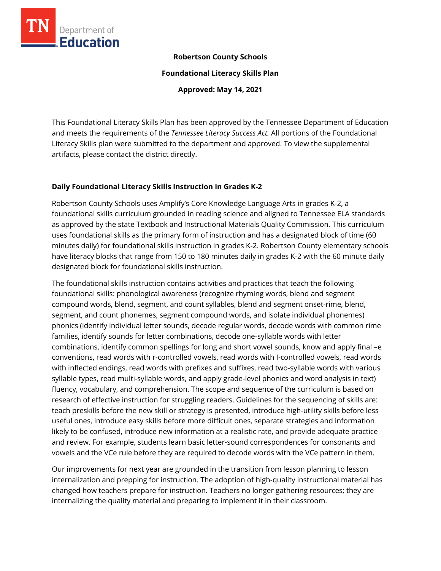

# **Robertson County Schools**

**Foundational Literacy Skills Plan**

**Approved: May 14, 2021**

This Foundational Literacy Skills Plan has been approved by the Tennessee Department of Education and meets the requirements of the *Tennessee Literacy Success Act.* All portions of the Foundational Literacy Skills plan were submitted to the department and approved. To view the supplemental artifacts, please contact the district directly.

#### **Daily Foundational Literacy Skills Instruction in Grades K-2**

Robertson County Schools uses Amplify's Core Knowledge Language Arts in grades K-2, a foundational skills curriculum grounded in reading science and aligned to Tennessee ELA standards as approved by the state Textbook and Instructional Materials Quality Commission. This curriculum uses foundational skills as the primary form of instruction and has a designated block of time (60 minutes daily) for foundational skills instruction in grades K-2. Robertson County elementary schools have literacy blocks that range from 150 to 180 minutes daily in grades K-2 with the 60 minute daily designated block for foundational skills instruction.

The foundational skills instruction contains activities and practices that teach the following foundational skills: phonological awareness (recognize rhyming words, blend and segment compound words, blend, segment, and count syllables, blend and segment onset-rime, blend, segment, and count phonemes, segment compound words, and isolate individual phonemes) phonics (identify individual letter sounds, decode regular words, decode words with common rime families, identify sounds for letter combinations, decode one-syllable words with letter combinations, identify common spellings for long and short vowel sounds, know and apply final –e conventions, read words with r-controlled vowels, read words with I-controlled vowels, read words with inflected endings, read words with prefixes and suffixes, read two-syllable words with various syllable types, read multi-syllable words, and apply grade-level phonics and word analysis in text) fluency, vocabulary, and comprehension. The scope and sequence of the curriculum is based on research of effective instruction for struggling readers. Guidelines for the sequencing of skills are: teach preskills before the new skill or strategy is presented, introduce high-utility skills before less useful ones, introduce easy skills before more difficult ones, separate strategies and information likely to be confused, introduce new information at a realistic rate, and provide adequate practice and review. For example, students learn basic letter-sound correspondences for consonants and vowels and the VCe rule before they are required to decode words with the VCe pattern in them.

Our improvements for next year are grounded in the transition from lesson planning to lesson internalization and prepping for instruction. The adoption of high-quality instructional material has changed how teachers prepare for instruction. Teachers no longer gathering resources; they are internalizing the quality material and preparing to implement it in their classroom.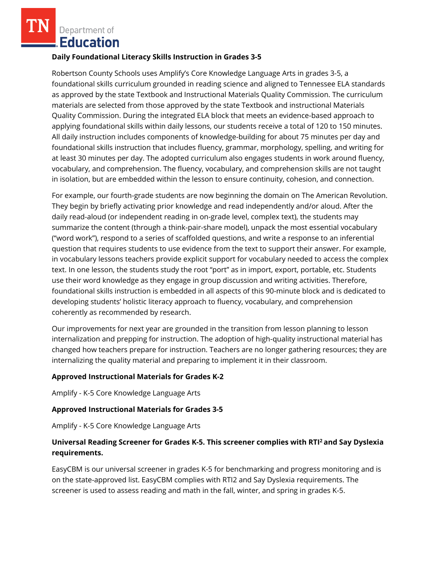Department of **Education** 

#### **Daily Foundational Literacy Skills Instruction in Grades 3-5**

Robertson County Schools uses Amplify's Core Knowledge Language Arts in grades 3-5, a foundational skills curriculum grounded in reading science and aligned to Tennessee ELA standards as approved by the state Textbook and Instructional Materials Quality Commission. The curriculum materials are selected from those approved by the state Textbook and instructional Materials Quality Commission. During the integrated ELA block that meets an evidence-based approach to applying foundational skills within daily lessons, our students receive a total of 120 to 150 minutes. All daily instruction includes components of knowledge-building for about 75 minutes per day and foundational skills instruction that includes fluency, grammar, morphology, spelling, and writing for at least 30 minutes per day. The adopted curriculum also engages students in work around fluency, vocabulary, and comprehension. The fluency, vocabulary, and comprehension skills are not taught in isolation, but are embedded within the lesson to ensure continuity, cohesion, and connection.

For example, our fourth-grade students are now beginning the domain on The American Revolution. They begin by briefly activating prior knowledge and read independently and/or aloud. After the daily read-aloud (or independent reading in on-grade level, complex text), the students may summarize the content (through a think-pair-share model), unpack the most essential vocabulary ("word work"), respond to a series of scaffolded questions, and write a response to an inferential question that requires students to use evidence from the text to support their answer. For example, in vocabulary lessons teachers provide explicit support for vocabulary needed to access the complex text. In one lesson, the students study the root "port" as in import, export, portable, etc. Students use their word knowledge as they engage in group discussion and writing activities. Therefore, foundational skills instruction is embedded in all aspects of this 90-minute block and is dedicated to developing students' holistic literacy approach to fluency, vocabulary, and comprehension coherently as recommended by research.

Our improvements for next year are grounded in the transition from lesson planning to lesson internalization and prepping for instruction. The adoption of high-quality instructional material has changed how teachers prepare for instruction. Teachers are no longer gathering resources; they are internalizing the quality material and preparing to implement it in their classroom.

# **Approved Instructional Materials for Grades K-2**

Amplify - K-5 Core Knowledge Language Arts

# **Approved Instructional Materials for Grades 3-5**

Amplify - K-5 Core Knowledge Language Arts

# **Universal Reading Screener for Grades K-5. This screener complies with RTI<sup>2</sup>and Say Dyslexia requirements.**

EasyCBM is our universal screener in grades K-5 for benchmarking and progress monitoring and is on the state-approved list. EasyCBM complies with RTI2 and Say Dyslexia requirements. The screener is used to assess reading and math in the fall, winter, and spring in grades K-5.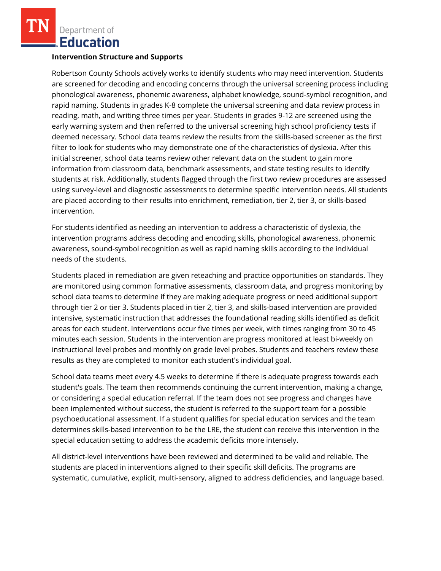Department of **Education** 

#### **Intervention Structure and Supports**

Robertson County Schools actively works to identify students who may need intervention. Students are screened for decoding and encoding concerns through the universal screening process including phonological awareness, phonemic awareness, alphabet knowledge, sound-symbol recognition, and rapid naming. Students in grades K-8 complete the universal screening and data review process in reading, math, and writing three times per year. Students in grades 9-12 are screened using the early warning system and then referred to the universal screening high school proficiency tests if deemed necessary. School data teams review the results from the skills-based screener as the first filter to look for students who may demonstrate one of the characteristics of dyslexia. After this initial screener, school data teams review other relevant data on the student to gain more information from classroom data, benchmark assessments, and state testing results to identify students at risk. Additionally, students flagged through the first two review procedures are assessed using survey-level and diagnostic assessments to determine specific intervention needs. All students are placed according to their results into enrichment, remediation, tier 2, tier 3, or skills-based intervention.

For students identified as needing an intervention to address a characteristic of dyslexia, the intervention programs address decoding and encoding skills, phonological awareness, phonemic awareness, sound-symbol recognition as well as rapid naming skills according to the individual needs of the students.

Students placed in remediation are given reteaching and practice opportunities on standards. They are monitored using common formative assessments, classroom data, and progress monitoring by school data teams to determine if they are making adequate progress or need additional support through tier 2 or tier 3. Students placed in tier 2, tier 3, and skills-based intervention are provided intensive, systematic instruction that addresses the foundational reading skills identified as deficit areas for each student. Interventions occur five times per week, with times ranging from 30 to 45 minutes each session. Students in the intervention are progress monitored at least bi-weekly on instructional level probes and monthly on grade level probes. Students and teachers review these results as they are completed to monitor each student's individual goal.

School data teams meet every 4.5 weeks to determine if there is adequate progress towards each student's goals. The team then recommends continuing the current intervention, making a change, or considering a special education referral. If the team does not see progress and changes have been implemented without success, the student is referred to the support team for a possible psychoeducational assessment. If a student qualifies for special education services and the team determines skills-based intervention to be the LRE, the student can receive this intervention in the special education setting to address the academic deficits more intensely.

All district-level interventions have been reviewed and determined to be valid and reliable. The students are placed in interventions aligned to their specific skill deficits. The programs are systematic, cumulative, explicit, multi-sensory, aligned to address deficiencies, and language based.